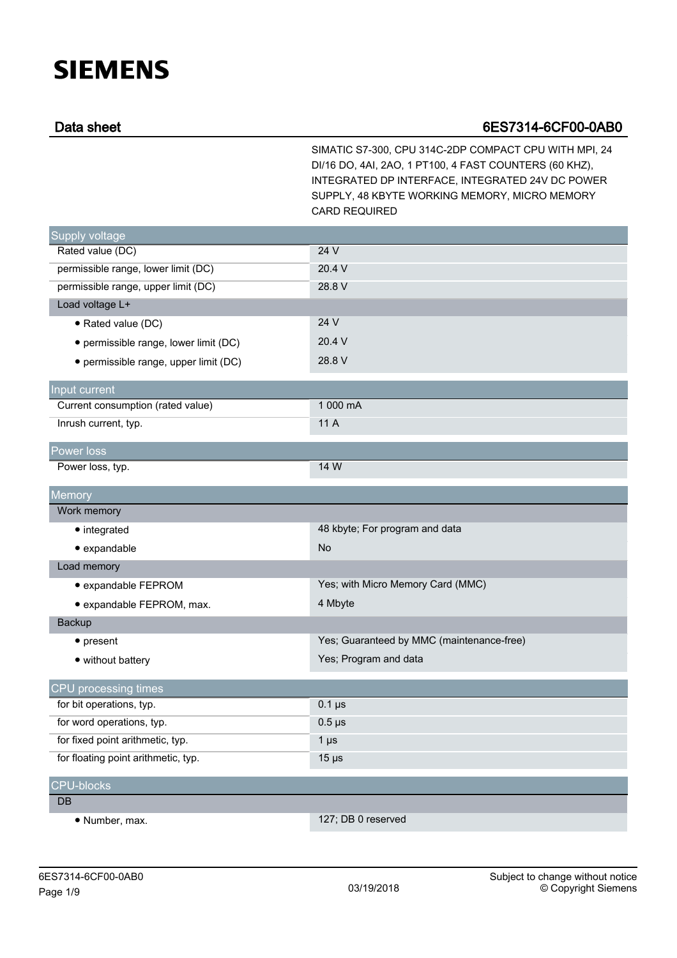## **SIEMENS**

## Data sheet 6ES7314-6CF00-0AB0

SIMATIC S7-300, CPU 314C-2DP COMPACT CPU WITH MPI, 24 DI/16 DO, 4AI, 2AO, 1 PT100, 4 FAST COUNTERS (60 KHZ), INTEGRATED DP INTERFACE, INTEGRATED 24V DC POWER SUPPLY, 48 KBYTE WORKING MEMORY, MICRO MEMORY CARD REQUIRED

| Supply voltage                        |                                           |
|---------------------------------------|-------------------------------------------|
| Rated value (DC)                      | 24 V                                      |
| permissible range, lower limit (DC)   | 20.4 V                                    |
| permissible range, upper limit (DC)   | 28.8 V                                    |
| Load voltage L+                       |                                           |
| • Rated value (DC)                    | 24 V                                      |
| • permissible range, lower limit (DC) | 20.4 V                                    |
| • permissible range, upper limit (DC) | 28.8 V                                    |
| Input current                         |                                           |
| Current consumption (rated value)     | 1 000 mA                                  |
| Inrush current, typ.                  | 11 A                                      |
| Power loss                            |                                           |
| Power loss, typ.                      | 14 W                                      |
| Memory                                |                                           |
| Work memory                           |                                           |
| $\bullet$ integrated                  | 48 kbyte; For program and data            |
| · expandable                          | <b>No</b>                                 |
| Load memory                           |                                           |
| · expandable FEPROM                   | Yes; with Micro Memory Card (MMC)         |
| · expandable FEPROM, max.             | 4 Mbyte                                   |
| Backup                                |                                           |
| $\bullet$ present                     | Yes; Guaranteed by MMC (maintenance-free) |
| • without battery                     | Yes; Program and data                     |
| CPU processing times                  |                                           |
| for bit operations, typ.              | $0.1 \,\mu s$                             |
| for word operations, typ.             | $0.5 \,\mu s$                             |
| for fixed point arithmetic, typ.      | $1 \mu s$                                 |
| for floating point arithmetic, typ.   | $15 \mu s$                                |
| <b>CPU-blocks</b>                     |                                           |
| DB                                    |                                           |
| • Number, max.                        | 127; DB 0 reserved                        |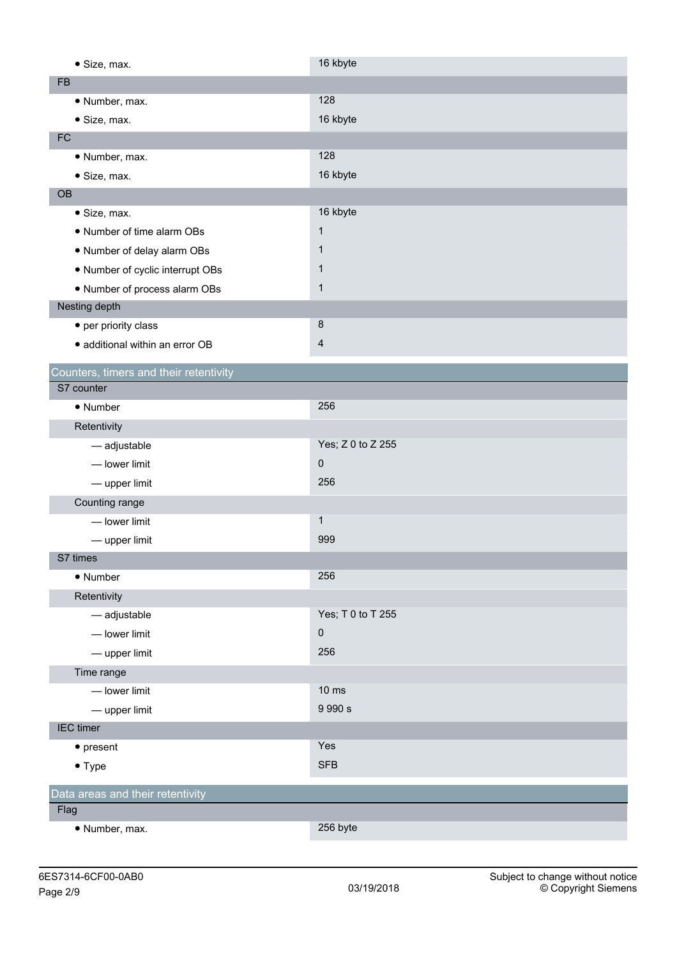| · Size, max.                           | 16 kbyte            |
|----------------------------------------|---------------------|
| <b>FB</b>                              |                     |
| · Number, max.                         | 128                 |
| · Size, max.                           | 16 kbyte            |
| FC                                     |                     |
| · Number, max.                         | 128                 |
| · Size, max.                           | 16 kbyte            |
| OB                                     |                     |
| · Size, max.                           | 16 kbyte            |
| • Number of time alarm OBs             | $\mathbf{1}$        |
| . Number of delay alarm OBs            | 1                   |
| • Number of cyclic interrupt OBs       | 1                   |
| • Number of process alarm OBs          | $\mathbf 1$         |
| Nesting depth                          |                     |
| • per priority class                   | $\bf 8$             |
| · additional within an error OB        | $\overline{4}$      |
| Counters, timers and their retentivity |                     |
| S7 counter                             |                     |
| • Number                               | 256                 |
| Retentivity                            |                     |
| - adjustable                           | Yes; Z 0 to Z 255   |
| - lower limit                          | $\mathsf{O}\xspace$ |
| - upper limit                          | 256                 |
| Counting range                         |                     |
| - lower limit                          | $\mathbf{1}$        |
| - upper limit                          | 999                 |
| S7 times                               |                     |
| • Number                               | 256                 |
| Retentivity                            |                     |
| - adjustable                           | Yes; T 0 to T 255   |
| - lower limit                          | $\mathsf{O}\xspace$ |
| - upper limit                          | 256                 |
| Time range                             |                     |
| - lower limit                          | $10 \text{ ms}$     |
| - upper limit                          | 9 9 9 0 s           |
| <b>IEC</b> timer                       |                     |
| $\bullet$ present                      | Yes                 |
| $\bullet$ Type                         | <b>SFB</b>          |
|                                        |                     |
| Data areas and their retentivity       |                     |
| Flag                                   | 256 byte            |
| · Number, max.                         |                     |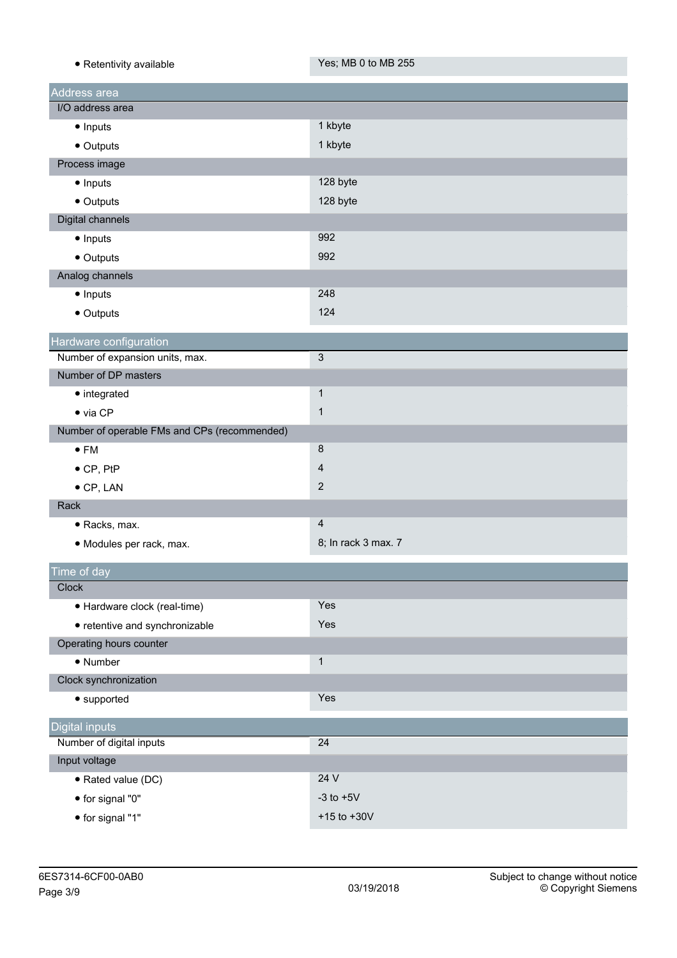| · Retentivity available                                   | Yes; MB 0 to MB 255 |
|-----------------------------------------------------------|---------------------|
| Address area                                              |                     |
| I/O address area                                          |                     |
| • Inputs                                                  | 1 kbyte             |
| • Outputs                                                 | 1 kbyte             |
| Process image                                             |                     |
| • Inputs                                                  | 128 byte            |
| • Outputs                                                 | 128 byte            |
| Digital channels                                          |                     |
| • Inputs                                                  | 992                 |
| • Outputs                                                 | 992                 |
| Analog channels                                           |                     |
| • Inputs                                                  | 248                 |
| • Outputs                                                 | 124                 |
|                                                           |                     |
| Hardware configuration<br>Number of expansion units, max. | $\mathfrak{Z}$      |
| Number of DP masters                                      |                     |
| • integrated                                              | $\mathbf{1}$        |
| $\bullet$ via CP                                          | $\mathbf{1}$        |
| Number of operable FMs and CPs (recommended)              |                     |
| $\bullet$ FM                                              | $\bf 8$             |
| $\bullet$ CP, PtP                                         | $\overline{4}$      |
| $\bullet$ CP, LAN                                         | $\overline{2}$      |
| Rack                                                      |                     |
| · Racks, max.                                             | $\overline{4}$      |
| · Modules per rack, max.                                  | 8; In rack 3 max. 7 |
|                                                           |                     |
| Time of day                                               |                     |
| Clock                                                     |                     |
| · Hardware clock (real-time)                              | Yes                 |
| • retentive and synchronizable                            | Yes                 |
| Operating hours counter                                   |                     |
| • Number                                                  | $\mathbf{1}$        |
| Clock synchronization                                     |                     |
| • supported                                               | Yes                 |
| <b>Digital inputs</b>                                     |                     |
| Number of digital inputs                                  | 24                  |
| Input voltage                                             |                     |
| · Rated value (DC)                                        | 24 V                |
| • for signal "0"                                          | $-3$ to $+5V$       |
| • for signal "1"                                          | $+15$ to $+30V$     |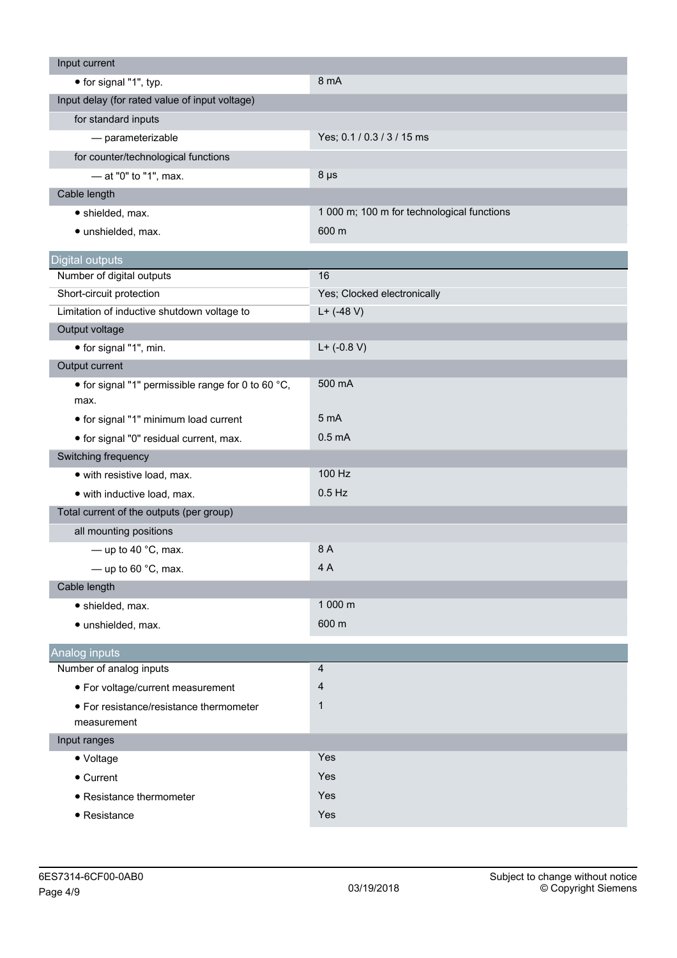| Input current                                              |                                            |
|------------------------------------------------------------|--------------------------------------------|
| • for signal "1", typ.                                     | 8 mA                                       |
| Input delay (for rated value of input voltage)             |                                            |
| for standard inputs                                        |                                            |
| - parameterizable                                          | Yes; 0.1 / 0.3 / 3 / 15 ms                 |
| for counter/technological functions                        |                                            |
| - at "0" to "1", max.                                      | $8 \mu s$                                  |
| Cable length                                               |                                            |
| · shielded, max.                                           | 1 000 m; 100 m for technological functions |
| · unshielded, max.                                         | 600 m                                      |
| <b>Digital outputs</b>                                     |                                            |
| Number of digital outputs                                  | 16                                         |
| Short-circuit protection                                   | Yes; Clocked electronically                |
| Limitation of inductive shutdown voltage to                | $L+$ (-48 V)                               |
| Output voltage                                             |                                            |
| • for signal "1", min.                                     | $L+$ (-0.8 V)                              |
| Output current                                             |                                            |
| • for signal "1" permissible range for 0 to 60 °C,<br>max. | 500 mA                                     |
| • for signal "1" minimum load current                      | 5 mA                                       |
| · for signal "0" residual current, max.                    | 0.5 <sub>m</sub> A                         |
| Switching frequency                                        |                                            |
| • with resistive load, max.                                | 100 Hz                                     |
| · with inductive load, max.                                | $0.5$ Hz                                   |
| Total current of the outputs (per group)                   |                                            |
| all mounting positions                                     |                                            |
| — up to 40 $^{\circ}$ C, max.                              | 8 A                                        |
| - up to 60 $^{\circ}$ C, max.                              | 4 A                                        |
| Cable length                                               |                                            |
| · shielded, max.                                           | 1 000 m                                    |
| · unshielded, max.                                         | 600 m                                      |
| Analog inputs                                              |                                            |
| Number of analog inputs                                    | $\overline{4}$                             |
| • For voltage/current measurement                          | 4                                          |
| • For resistance/resistance thermometer<br>measurement     | $\mathbf 1$                                |
| Input ranges                                               |                                            |
| • Voltage                                                  | Yes                                        |
| • Current                                                  | Yes                                        |
| • Resistance thermometer                                   | Yes                                        |
| • Resistance                                               | Yes                                        |
|                                                            |                                            |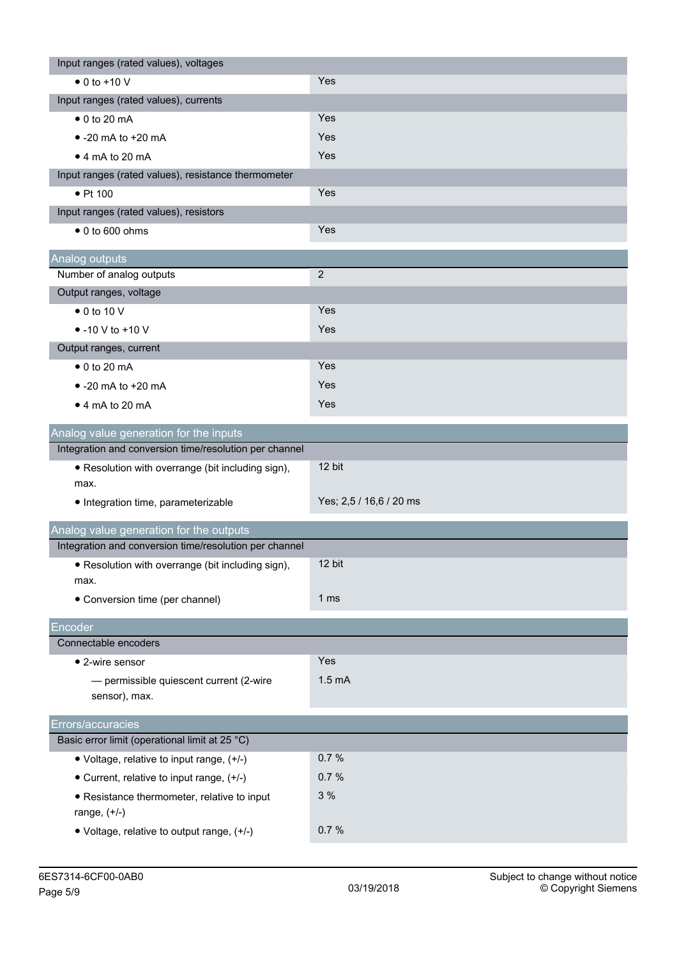| Yes; 2,5 / 16,6 / 20 ms |
|-------------------------|
|                         |
|                         |
|                         |
|                         |
|                         |
|                         |
|                         |
|                         |
|                         |
|                         |
|                         |
|                         |
|                         |
|                         |
|                         |
|                         |
|                         |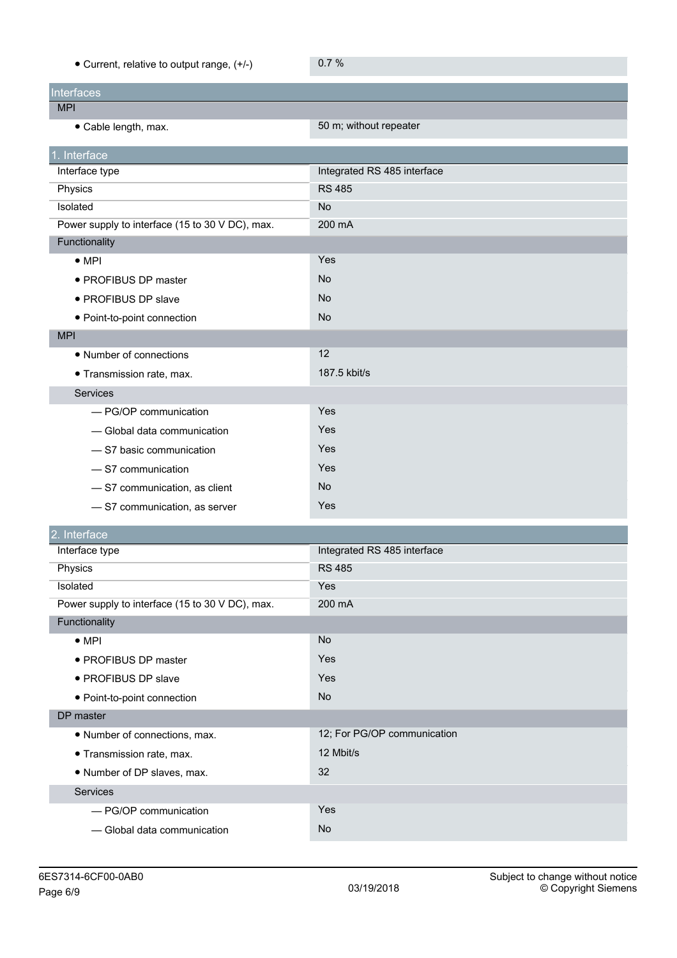| • Current, relative to output range, (+/-)      | 0.7%                        |
|-------------------------------------------------|-----------------------------|
| <b>Interfaces</b>                               |                             |
| <b>MPI</b>                                      |                             |
| • Cable length, max.                            | 50 m; without repeater      |
| 1. Interface                                    |                             |
| Interface type                                  | Integrated RS 485 interface |
| Physics                                         | <b>RS 485</b>               |
| Isolated                                        | No                          |
| Power supply to interface (15 to 30 V DC), max. | 200 mA                      |
| Functionality                                   |                             |
| $\bullet$ MPI                                   | Yes                         |
| • PROFIBUS DP master                            | No                          |
| • PROFIBUS DP slave                             | No                          |
| • Point-to-point connection                     | <b>No</b>                   |
| <b>MPI</b>                                      |                             |
| • Number of connections                         | 12                          |
| · Transmission rate, max.                       | 187.5 kbit/s                |
| Services                                        |                             |
| - PG/OP communication                           | Yes                         |
| - Global data communication                     | Yes                         |
| -S7 basic communication                         | Yes                         |
| -S7 communication                               | Yes                         |
| -S7 communication, as client                    | No                          |
| - S7 communication, as server                   | Yes                         |
| 2. Interface                                    |                             |
| Interface type                                  | Integrated RS 485 interface |
| Physics                                         | <b>RS 485</b>               |
| Isolated                                        | <b>Yes</b>                  |
| Power supply to interface (15 to 30 V DC), max. | 200 mA                      |
| Functionality                                   |                             |
| $\bullet$ MPI                                   | No                          |
| • PROFIBUS DP master                            | Yes                         |
| · PROFIBUS DP slave                             | Yes                         |
| · Point-to-point connection                     | No                          |
| DP master                                       |                             |
| • Number of connections, max.                   | 12; For PG/OP communication |
| · Transmission rate, max.                       | 12 Mbit/s                   |
| • Number of DP slaves, max.                     | 32                          |
| Services                                        |                             |
| - PG/OP communication                           | Yes                         |
| - Global data communication                     | No                          |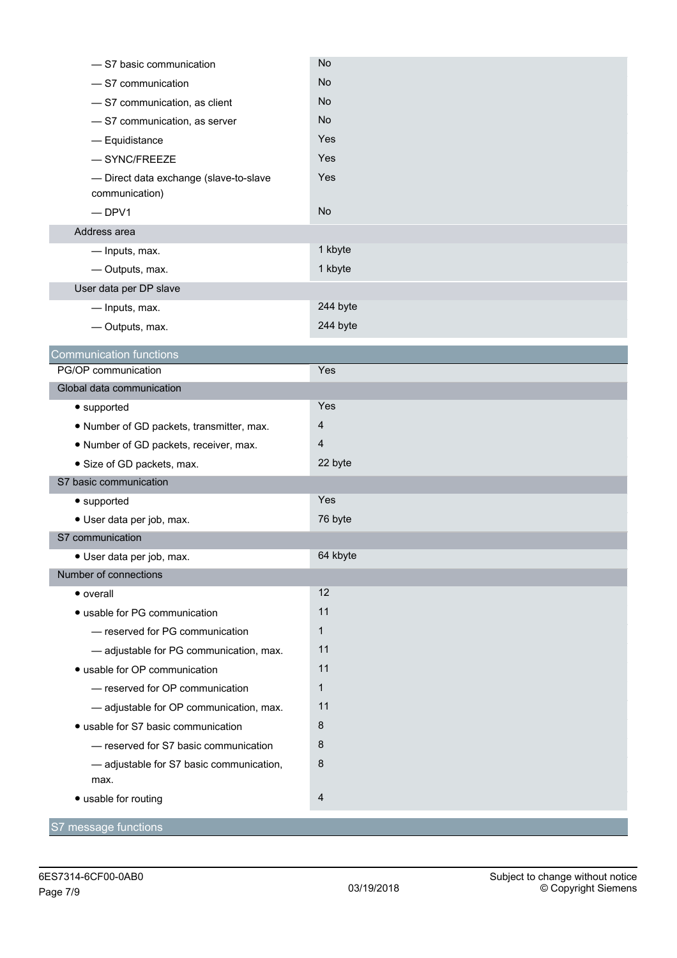| -S7 basic communication                                  | <b>No</b>      |
|----------------------------------------------------------|----------------|
| -S7 communication                                        | No.            |
| -S7 communication, as client                             | <b>No</b>      |
| - S7 communication, as server                            | <b>No</b>      |
| - Equidistance                                           | Yes            |
| $-$ SYNC/FREEZE                                          | Yes            |
| - Direct data exchange (slave-to-slave<br>communication) | Yes            |
| $-DPV1$                                                  | No             |
| Address area                                             |                |
| - Inputs, max.                                           | 1 kbyte        |
| - Outputs, max.                                          | 1 kbyte        |
| User data per DP slave                                   |                |
| - Inputs, max.                                           | 244 byte       |
| - Outputs, max.                                          | 244 byte       |
| <b>Communication functions</b>                           |                |
| PG/OP communication                                      | Yes            |
| Global data communication                                |                |
| • supported                                              | Yes            |
| . Number of GD packets, transmitter, max.                | $\overline{4}$ |
| . Number of GD packets, receiver, max.                   | 4              |
| • Size of GD packets, max.                               | 22 byte        |
| S7 basic communication                                   |                |
| • supported                                              | Yes            |
| · User data per job, max.                                | 76 byte        |
| S7 communication                                         |                |
| · User data per job, max.                                | 64 kbyte       |
| Number of connections                                    |                |
| • overall                                                | 12             |
| · usable for PG communication                            | 11             |
| - reserved for PG communication                          | $\mathbf{1}$   |
| - adjustable for PG communication, max.                  | 11             |
| · usable for OP communication                            | 11             |
| - reserved for OP communication                          | $\mathbf{1}$   |
| - adjustable for OP communication, max.                  | 11             |
| · usable for S7 basic communication                      | 8              |
| - reserved for S7 basic communication                    | 8              |
| - adjustable for S7 basic communication,                 | 8              |
| max.                                                     |                |
| • usable for routing                                     | $\overline{4}$ |
| S7 message functions                                     |                |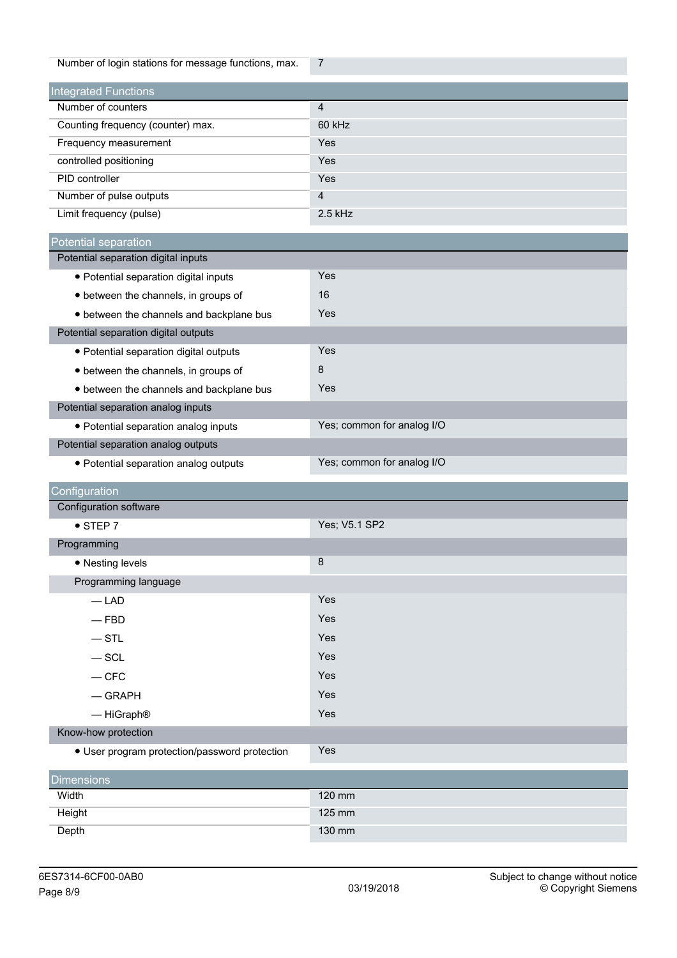| Number of login stations for message functions, max. | $\overline{7}$             |
|------------------------------------------------------|----------------------------|
| <b>Integrated Functions</b>                          |                            |
| Number of counters                                   | $\overline{4}$             |
| Counting frequency (counter) max.                    | 60 kHz                     |
| Frequency measurement                                | Yes                        |
| controlled positioning                               | Yes                        |
| PID controller                                       | Yes                        |
| Number of pulse outputs                              | $\overline{4}$             |
| Limit frequency (pulse)                              | $2.5$ kHz                  |
| Potential separation                                 |                            |
| Potential separation digital inputs                  |                            |
| · Potential separation digital inputs                | Yes                        |
| • between the channels, in groups of                 | 16                         |
| • between the channels and backplane bus             | Yes                        |
| Potential separation digital outputs                 |                            |
| · Potential separation digital outputs               | Yes                        |
| • between the channels, in groups of                 | 8                          |
| • between the channels and backplane bus             | Yes                        |
| Potential separation analog inputs                   |                            |
| · Potential separation analog inputs                 | Yes; common for analog I/O |
| Potential separation analog outputs                  |                            |
|                                                      |                            |
| • Potential separation analog outputs                | Yes; common for analog I/O |
|                                                      |                            |
| Configuration                                        |                            |
| Configuration software                               |                            |
| $\bullet$ STEP 7                                     | Yes; V5.1 SP2              |
| Programming                                          |                            |
| • Nesting levels                                     | 8                          |
| Programming language                                 |                            |
| $-LAD$                                               | Yes                        |
| $-$ FBD                                              | Yes                        |
| $-$ STL                                              | Yes                        |
| $-$ SCL                                              | Yes                        |
| $-CFC$                                               | Yes                        |
| $-$ GRAPH                                            | Yes                        |
| - HiGraph <sup>®</sup>                               | Yes                        |
| Know-how protection                                  |                            |
| • User program protection/password protection        | Yes                        |
| <b>Dimensions</b>                                    |                            |
| Width                                                | 120 mm                     |
| Height                                               | 125 mm                     |